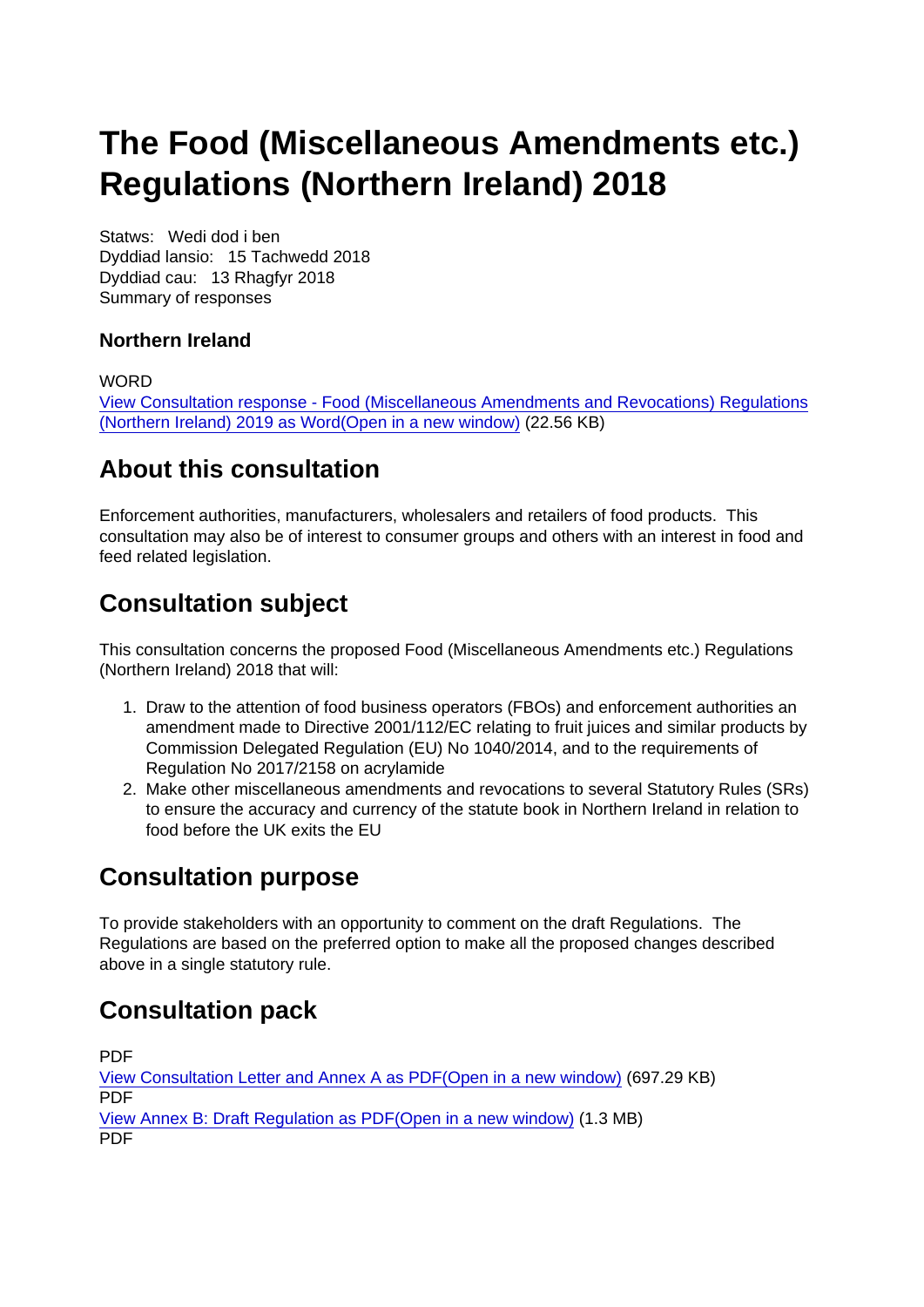# The Food (Miscellaneous Amendments etc.) Regulations (Northern Ireland) 2018

Statws: Wedi dod i ben Dyddiad lansio: 15 Tachwedd 2018 Dyddiad cau: 13 Rhagfyr 2018 Summary of responses

#### Northern Ireland

**WORD** 

[View Consultation response - Food \(Miscellaneous Amendments and Revocations\) Regulations](https://www.food.gov.uk/sites/default/files/media/document/consultation-response-amendment-of-domestic-legislation-in-northern-ireland_1.docx) [\(Northern Ireland\) 2019 as Word\(Open in a new window\)](https://www.food.gov.uk/sites/default/files/media/document/consultation-response-amendment-of-domestic-legislation-in-northern-ireland_1.docx) (22.56 KB)

## About this consultation

Enforcement authorities, manufacturers, wholesalers and retailers of food products. This consultation may also be of interest to consumer groups and others with an interest in food and feed related legislation.

## Consultation subject

This consultation concerns the proposed Food (Miscellaneous Amendments etc.) Regulations (Northern Ireland) 2018 that will:

- 1. Draw to the attention of food business operators (FBOs) and enforcement authorities an amendment made to Directive 2001/112/EC relating to fruit juices and similar products by Commission Delegated Regulation (EU) No 1040/2014, and to the requirements of Regulation No 2017/2158 on acrylamide
- 2. Make other miscellaneous amendments and revocations to several Statutory Rules (SRs) to ensure the accuracy and currency of the statute book in Northern Ireland in relation to food before the UK exits the EU

# Consultation purpose

To provide stakeholders with an opportunity to comment on the draft Regulations. The Regulations are based on the preferred option to make all the proposed changes described above in a single statutory rule.

#### Consultation pack

PDF [View Consultation Letter and Annex A as PDF\(Open in a new window\)](https://www.food.gov.uk/sites/default/files/media/document/food-regulations-amendments-ni-consultation.pdf) (697.29 KB) PDF [View Annex B: Draft Regulation as PDF\(Open in a new window\)](https://www.food.gov.uk/sites/default/files/media/document/draft-food-miscellaneous-amendments-regulations-ni-2018.pdf) (1.3 MB) PDF